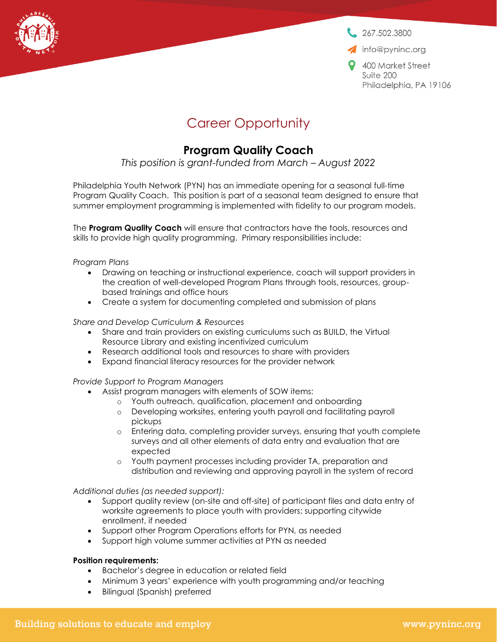

 $267.502.3800$ 

info@pyninc.org

9 400 Market Street Suite 200 Philadelphia, PA 19106

# Career Opportunity

# **Program Quality Coach**

*This position is grant-funded from March – August 2022*

Philadelphia Youth Network (PYN) has an immediate opening for a seasonal full-time Program Quality Coach. This position is part of a seasonal team designed to ensure that summer employment programming is implemented with fidelity to our program models.

The **Program Quality Coach** will ensure that contractors have the tools, resources and skills to provide high quality programming. Primary responsibilities include:

#### *Program Plans*

- Drawing on teaching or instructional experience, coach will support providers in the creation of well-developed Program Plans through tools, resources, groupbased trainings and office hours
- Create a system for documenting completed and submission of plans

#### *Share and Develop Curriculum & Resources*

- Share and train providers on existing curriculums such as BUILD, the Virtual Resource Library and existing incentivized curriculum
- Research additional tools and resources to share with providers
- Expand financial literacy resources for the provider network

# *Provide Support to Program Managers*

- Assist program managers with elements of SOW items:
	- o Youth outreach, qualification, placement and onboarding
	- o Developing worksites, entering youth payroll and facilitating payroll pickups
	- o Entering data, completing provider surveys, ensuring that youth complete surveys and all other elements of data entry and evaluation that are expected
	- o Youth payment processes including provider TA, preparation and distribution and reviewing and approving payroll in the system of record

#### *Additional duties (as needed support):*

- Support quality review (on-site and off-site) of participant files and data entry of worksite agreements to place youth with providers; supporting citywide enrollment, if needed
- Support other Program Operations efforts for PYN, as needed
- Support high volume summer activities at PYN as needed

# **Position requirements:**

- Bachelor's degree in education or related field
- Minimum 3 years' experience with youth programming and/or teaching
- Bilingual (Spanish) preferred